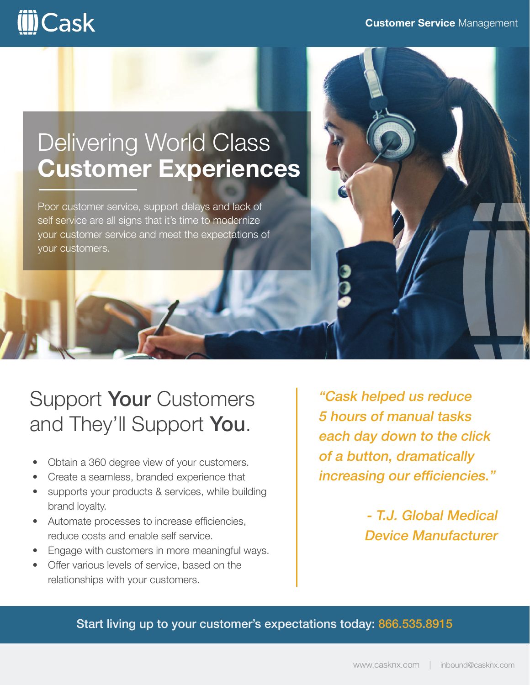# **iii**Cask

## Delivering World Class **Customer Experiences**

Poor customer service, support delays and lack of self service are all signs that it's time to modernize your customer service and meet the expectations of your customers.



- Obtain a 360 degree view of your customers.
- Create a seamless, branded experience that
- supports your products & services, while building brand loyalty.
- Automate processes to increase efficiencies, reduce costs and enable self service.
- Engage with customers in more meaningful ways.
- Offer various levels of service, based on the relationships with your customers.

"Cask helped us reduce 5 hours of manual tasks each day down to the click of a button, dramatically increasing our efficiencies."

> - T.J. Global Medical Device Manufacturer

### Start living up to your customer's expectations today: 866.535.8915